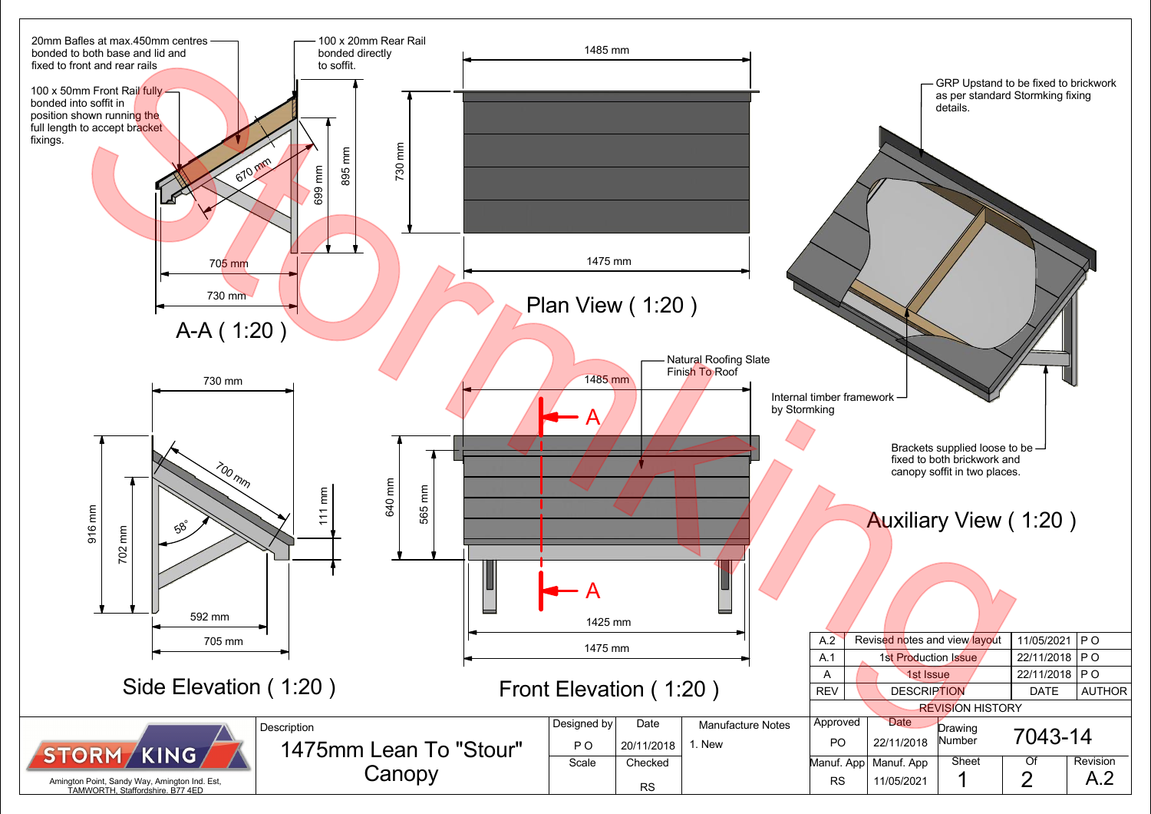